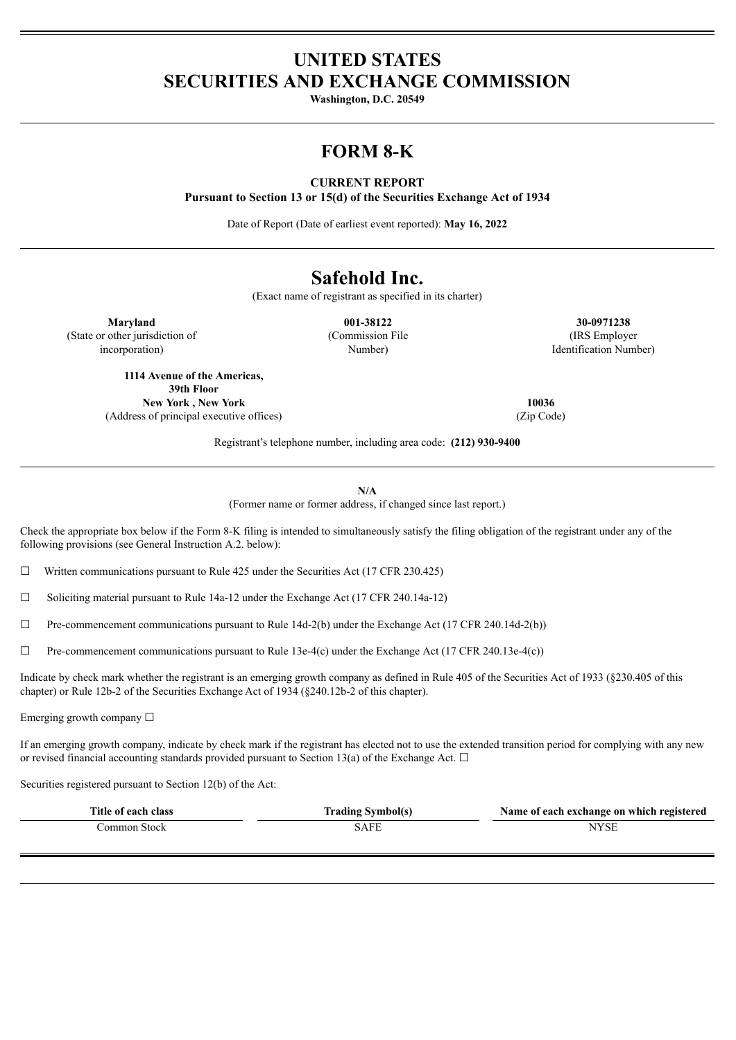## **UNITED STATES SECURITIES AND EXCHANGE COMMISSION**

**Washington, D.C. 20549**

## **FORM 8-K**

### **CURRENT REPORT**

**Pursuant to Section 13 or 15(d) of the Securities Exchange Act of 1934**

Date of Report (Date of earliest event reported): **May 16, 2022**

# **Safehold Inc.**

(Exact name of registrant as specified in its charter)

(State or other jurisdiction of incorporation)

> **1114 Avenue of the Americas, 39th Floor**

**Maryland 001-38122 30-0971238** (Commission File Number)

(IRS Employer Identification Number)

**New York , New York 10036**

(Address of principal executive offices) (Zip Code)

Registrant's telephone number, including area code: **(212) 930-9400**

**N/A**

(Former name or former address, if changed since last report.)

Check the appropriate box below if the Form 8-K filing is intended to simultaneously satisfy the filing obligation of the registrant under any of the following provisions (see General Instruction A.2. below):

 $\Box$  Written communications pursuant to Rule 425 under the Securities Act (17 CFR 230.425)

☐ Soliciting material pursuant to Rule 14a-12 under the Exchange Act (17 CFR 240.14a-12)

 $\Box$  Pre-commencement communications pursuant to Rule 14d-2(b) under the Exchange Act (17 CFR 240.14d-2(b))

 $\Box$  Pre-commencement communications pursuant to Rule 13e-4(c) under the Exchange Act (17 CFR 240.13e-4(c))

Indicate by check mark whether the registrant is an emerging growth company as defined in Rule 405 of the Securities Act of 1933 (§230.405 of this chapter) or Rule 12b-2 of the Securities Exchange Act of 1934 (§240.12b-2 of this chapter).

Emerging growth company  $\Box$ 

If an emerging growth company, indicate by check mark if the registrant has elected not to use the extended transition period for complying with any new or revised financial accounting standards provided pursuant to Section 13(a) of the Exchange Act.  $\Box$ 

Securities registered pursuant to Section 12(b) of the Act:

| Title of each class | <b>Trading Symbol(s)</b> | Name of each exchange on which registered |
|---------------------|--------------------------|-------------------------------------------|
| ∴ommon Stock        | 5AFF                     | 'YSL                                      |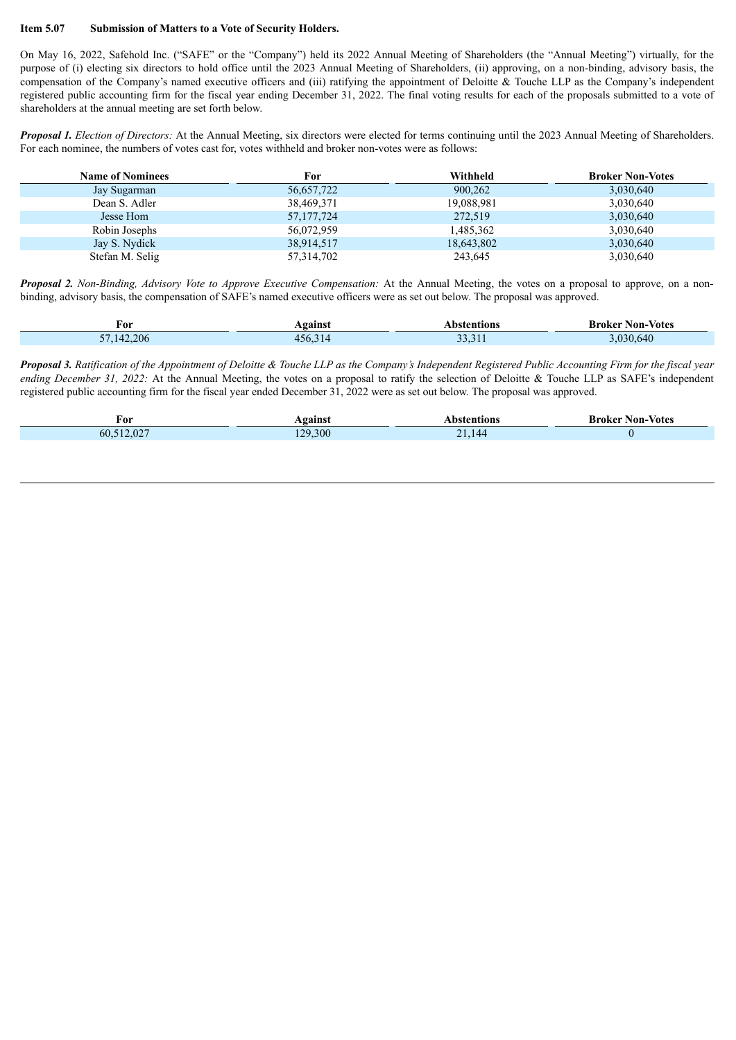#### **Item 5.07 Submission of Matters to a Vote of Security Holders.**

On May 16, 2022, Safehold Inc. ("SAFE" or the "Company") held its 2022 Annual Meeting of Shareholders (the "Annual Meeting") virtually, for the purpose of (i) electing six directors to hold office until the 2023 Annual Meeting of Shareholders, (ii) approving, on a non-binding, advisory basis, the compensation of the Company's named executive officers and (iii) ratifying the appointment of Deloitte & Touche LLP as the Company's independent registered public accounting firm for the fiscal year ending December 31, 2022. The final voting results for each of the proposals submitted to a vote of shareholders at the annual meeting are set forth below.

*Proposal 1. Election of Directors:* At the Annual Meeting, six directors were elected for terms continuing until the 2023 Annual Meeting of Shareholders. For each nominee, the numbers of votes cast for, votes withheld and broker non-votes were as follows:

| <b>Name of Nominees</b> | For          | Withheld   | <b>Broker Non-Votes</b> |
|-------------------------|--------------|------------|-------------------------|
| Jay Sugarman            | 56,657,722   | 900,262    | 3,030,640               |
| Dean S. Adler           | 38,469,371   | 19,088,981 | 3,030,640               |
| Jesse Hom               | 57, 177, 724 | 272,519    | 3,030,640               |
| Robin Josephs           | 56,072,959   | 1,485,362  | 3,030,640               |
| Jay S. Nydick           | 38,914,517   | 18,643,802 | 3,030,640               |
| Stefan M. Selig         | 57,314,702   | 243,645    | 3,030,640               |

*Proposal 2. Non-Binding, Advisory Vote to Approve Executive Compensation:* At the Annual Meeting, the votes on a proposal to approve, on a nonbinding, advisory basis, the compensation of SAFE's named executive officers were as set out below. The proposal was approved.

| For                          | gainst | Vbstentions    | <b>Broker Non-Votes</b> |
|------------------------------|--------|----------------|-------------------------|
| 42.206<br>$- -$<br>$\vert 4$ | 156.3  | $\sim$<br>JJ.J | 030.640                 |

Proposal 3. Ratification of the Appointment of Deloitte & Touche LLP as the Company's Independent Registered Public Accounting Firm for the fiscal year *ending December 31, 2022:* At the Annual Meeting, the votes on a proposal to ratify the selection of Deloitte & Touche LLP as SAFE's independent registered public accounting firm for the fiscal year ended December 31, 2022 were as set out below. The proposal was approved.

| For                            | <b>gainst</b> | nons             | Non-Votes<br>Broker |
|--------------------------------|---------------|------------------|---------------------|
| 512027<br>$\sim$<br>.UZ<br>DU. | 300<br>120.   | า 1<br>.144<br>- |                     |
|                                |               |                  |                     |